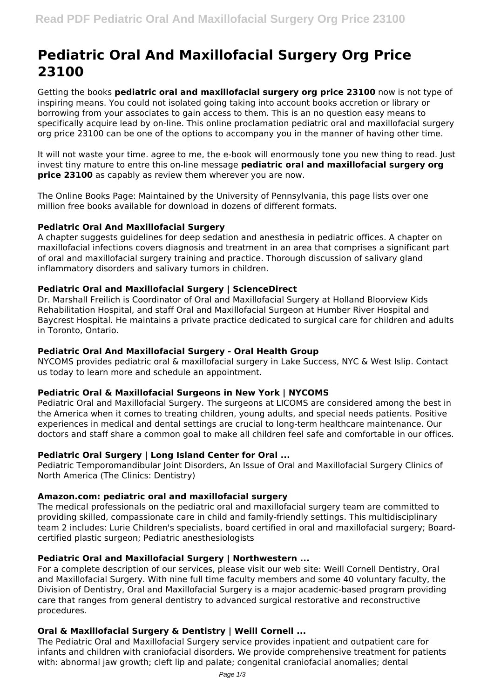# **Pediatric Oral And Maxillofacial Surgery Org Price 23100**

Getting the books **pediatric oral and maxillofacial surgery org price 23100** now is not type of inspiring means. You could not isolated going taking into account books accretion or library or borrowing from your associates to gain access to them. This is an no question easy means to specifically acquire lead by on-line. This online proclamation pediatric oral and maxillofacial surgery org price 23100 can be one of the options to accompany you in the manner of having other time.

It will not waste your time. agree to me, the e-book will enormously tone you new thing to read. Just invest tiny mature to entre this on-line message **pediatric oral and maxillofacial surgery org price 23100** as capably as review them wherever you are now.

The Online Books Page: Maintained by the University of Pennsylvania, this page lists over one million free books available for download in dozens of different formats.

## **Pediatric Oral And Maxillofacial Surgery**

A chapter suggests guidelines for deep sedation and anesthesia in pediatric offices. A chapter on maxillofacial infections covers diagnosis and treatment in an area that comprises a significant part of oral and maxillofacial surgery training and practice. Thorough discussion of salivary gland inflammatory disorders and salivary tumors in children.

## **Pediatric Oral and Maxillofacial Surgery | ScienceDirect**

Dr. Marshall Freilich is Coordinator of Oral and Maxillofacial Surgery at Holland Bloorview Kids Rehabilitation Hospital, and staff Oral and Maxillofacial Surgeon at Humber River Hospital and Baycrest Hospital. He maintains a private practice dedicated to surgical care for children and adults in Toronto, Ontario.

## **Pediatric Oral And Maxillofacial Surgery - Oral Health Group**

NYCOMS provides pediatric oral & maxillofacial surgery in Lake Success, NYC & West Islip. Contact us today to learn more and schedule an appointment.

#### **Pediatric Oral & Maxillofacial Surgeons in New York | NYCOMS**

Pediatric Oral and Maxillofacial Surgery. The surgeons at LICOMS are considered among the best in the America when it comes to treating children, young adults, and special needs patients. Positive experiences in medical and dental settings are crucial to long-term healthcare maintenance. Our doctors and staff share a common goal to make all children feel safe and comfortable in our offices.

#### **Pediatric Oral Surgery | Long Island Center for Oral ...**

Pediatric Temporomandibular Joint Disorders, An Issue of Oral and Maxillofacial Surgery Clinics of North America (The Clinics: Dentistry)

## **Amazon.com: pediatric oral and maxillofacial surgery**

The medical professionals on the pediatric oral and maxillofacial surgery team are committed to providing skilled, compassionate care in child and family-friendly settings. This multidisciplinary team 2 includes: Lurie Children's specialists, board certified in oral and maxillofacial surgery; Boardcertified plastic surgeon; Pediatric anesthesiologists

#### **Pediatric Oral and Maxillofacial Surgery | Northwestern ...**

For a complete description of our services, please visit our web site: Weill Cornell Dentistry, Oral and Maxillofacial Surgery. With nine full time faculty members and some 40 voluntary faculty, the Division of Dentistry, Oral and Maxillofacial Surgery is a major academic-based program providing care that ranges from general dentistry to advanced surgical restorative and reconstructive procedures.

## **Oral & Maxillofacial Surgery & Dentistry | Weill Cornell ...**

The Pediatric Oral and Maxillofacial Surgery service provides inpatient and outpatient care for infants and children with craniofacial disorders. We provide comprehensive treatment for patients with: abnormal jaw growth; cleft lip and palate; congenital craniofacial anomalies; dental